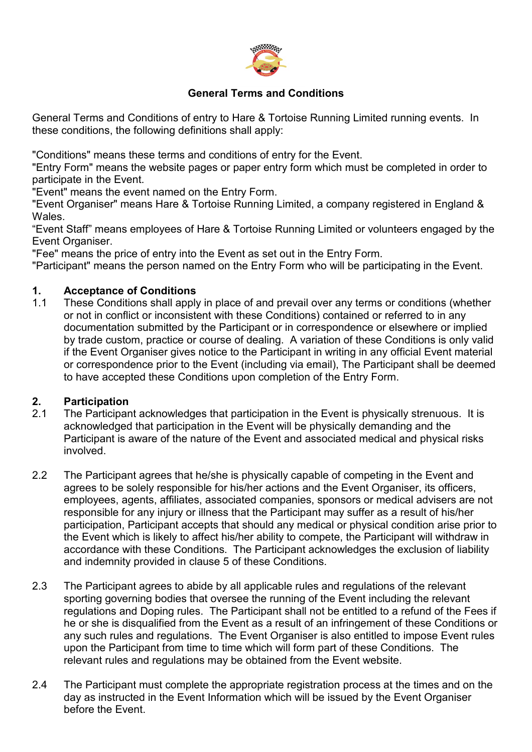

#### **General Terms and Conditions**

General Terms and Conditions of entry to Hare & Tortoise Running Limited running events. In these conditions, the following definitions shall apply:

"Conditions" means these terms and conditions of entry for the Event.

"Entry Form" means the website pages or paper entry form which must be completed in order to participate in the Event.

"Event" means the event named on the Entry Form.

"Event Organiser" means Hare & Tortoise Running Limited, a company registered in England & Wales.

"Event Staff" means employees of Hare & Tortoise Running Limited or volunteers engaged by the Event Organiser.

"Fee" means the price of entry into the Event as set out in the Entry Form.

"Participant" means the person named on the Entry Form who will be participating in the Event.

#### **1. Acceptance of Conditions**

These Conditions shall apply in place of and prevail over any terms or conditions (whether or not in conflict or inconsistent with these Conditions) contained or referred to in any documentation submitted by the Participant or in correspondence or elsewhere or implied by trade custom, practice or course of dealing. A variation of these Conditions is only valid if the Event Organiser gives notice to the Participant in writing in any official Event material or correspondence prior to the Event (including via email), The Participant shall be deemed to have accepted these Conditions upon completion of the Entry Form.

#### **2. Participation**

- 2.1 The Participant acknowledges that participation in the Event is physically strenuous. It is acknowledged that participation in the Event will be physically demanding and the Participant is aware of the nature of the Event and associated medical and physical risks involved.
- 2.2 The Participant agrees that he/she is physically capable of competing in the Event and agrees to be solely responsible for his/her actions and the Event Organiser, its officers, employees, agents, affiliates, associated companies, sponsors or medical advisers are not responsible for any injury or illness that the Participant may suffer as a result of his/her participation, Participant accepts that should any medical or physical condition arise prior to the Event which is likely to affect his/her ability to compete, the Participant will withdraw in accordance with these Conditions. The Participant acknowledges the exclusion of liability and indemnity provided in clause 5 of these Conditions.
- 2.3 The Participant agrees to abide by all applicable rules and regulations of the relevant sporting governing bodies that oversee the running of the Event including the relevant regulations and Doping rules. The Participant shall not be entitled to a refund of the Fees if he or she is disqualified from the Event as a result of an infringement of these Conditions or any such rules and regulations. The Event Organiser is also entitled to impose Event rules upon the Participant from time to time which will form part of these Conditions. The relevant rules and regulations may be obtained from the Event website.
- 2.4 The Participant must complete the appropriate registration process at the times and on the day as instructed in the Event Information which will be issued by the Event Organiser before the Event.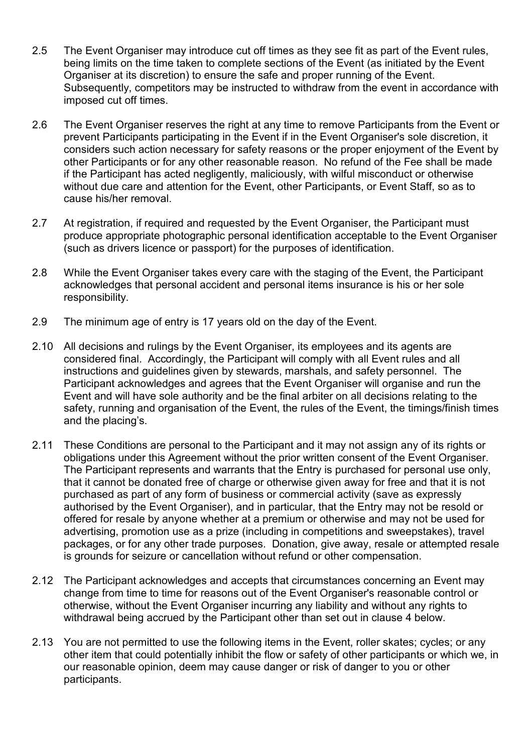- 2.5 The Event Organiser may introduce cut off times as they see fit as part of the Event rules, being limits on the time taken to complete sections of the Event (as initiated by the Event Organiser at its discretion) to ensure the safe and proper running of the Event. Subsequently, competitors may be instructed to withdraw from the event in accordance with imposed cut off times.
- 2.6 The Event Organiser reserves the right at any time to remove Participants from the Event or prevent Participants participating in the Event if in the Event Organiser's sole discretion, it considers such action necessary for safety reasons or the proper enjoyment of the Event by other Participants or for any other reasonable reason. No refund of the Fee shall be made if the Participant has acted negligently, maliciously, with wilful misconduct or otherwise without due care and attention for the Event, other Participants, or Event Staff, so as to cause his/her removal.
- 2.7 At registration, if required and requested by the Event Organiser, the Participant must produce appropriate photographic personal identification acceptable to the Event Organiser (such as drivers licence or passport) for the purposes of identification.
- 2.8 While the Event Organiser takes every care with the staging of the Event, the Participant acknowledges that personal accident and personal items insurance is his or her sole responsibility.
- 2.9 The minimum age of entry is 17 years old on the day of the Event.
- 2.10 All decisions and rulings by the Event Organiser, its employees and its agents are considered final. Accordingly, the Participant will comply with all Event rules and all instructions and guidelines given by stewards, marshals, and safety personnel. The Participant acknowledges and agrees that the Event Organiser will organise and run the Event and will have sole authority and be the final arbiter on all decisions relating to the safety, running and organisation of the Event, the rules of the Event, the timings/finish times and the placing's.
- 2.11 These Conditions are personal to the Participant and it may not assign any of its rights or obligations under this Agreement without the prior written consent of the Event Organiser. The Participant represents and warrants that the Entry is purchased for personal use only, that it cannot be donated free of charge or otherwise given away for free and that it is not purchased as part of any form of business or commercial activity (save as expressly authorised by the Event Organiser), and in particular, that the Entry may not be resold or offered for resale by anyone whether at a premium or otherwise and may not be used for advertising, promotion use as a prize (including in competitions and sweepstakes), travel packages, or for any other trade purposes. Donation, give away, resale or attempted resale is grounds for seizure or cancellation without refund or other compensation.
- 2.12 The Participant acknowledges and accepts that circumstances concerning an Event may change from time to time for reasons out of the Event Organiser's reasonable control or otherwise, without the Event Organiser incurring any liability and without any rights to withdrawal being accrued by the Participant other than set out in clause 4 below.
- 2.13 You are not permitted to use the following items in the Event, roller skates; cycles; or any other item that could potentially inhibit the flow or safety of other participants or which we, in our reasonable opinion, deem may cause danger or risk of danger to you or other participants.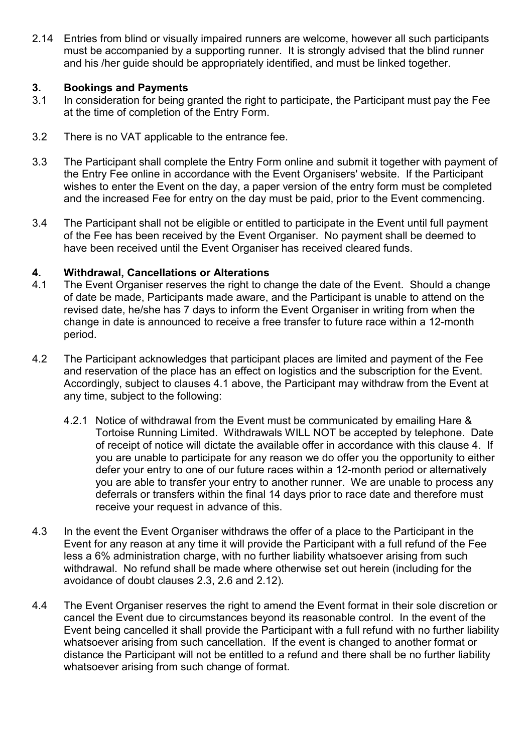2.14 Entries from blind or visually impaired runners are welcome, however all such participants must be accompanied by a supporting runner. It is strongly advised that the blind runner and his /her guide should be appropriately identified, and must be linked together.

## **3. Bookings and Payments**<br>**3.1** In consideration for being of

- In consideration for being granted the right to participate, the Participant must pay the Fee at the time of completion of the Entry Form.
- 3.2 There is no VAT applicable to the entrance fee.
- 3.3 The Participant shall complete the Entry Form online and submit it together with payment of the Entry Fee online in accordance with the Event Organisers' website. If the Participant wishes to enter the Event on the day, a paper version of the entry form must be completed and the increased Fee for entry on the day must be paid, prior to the Event commencing.
- 3.4 The Participant shall not be eligible or entitled to participate in the Event until full payment of the Fee has been received by the Event Organiser. No payment shall be deemed to have been received until the Event Organiser has received cleared funds.

## **4. Withdrawal, Cancellations or Alterations**

- The Event Organiser reserves the right to change the date of the Event. Should a change of date be made, Participants made aware, and the Participant is unable to attend on the revised date, he/she has 7 days to inform the Event Organiser in writing from when the change in date is announced to receive a free transfer to future race within a 12-month period.
- 4.2 The Participant acknowledges that participant places are limited and payment of the Fee and reservation of the place has an effect on logistics and the subscription for the Event. Accordingly, subject to clauses 4.1 above, the Participant may withdraw from the Event at any time, subject to the following:
	- 4.2.1 Notice of withdrawal from the Event must be communicated by emailing Hare & Tortoise Running Limited. Withdrawals WILL NOT be accepted by telephone. Date of receipt of notice will dictate the available offer in accordance with this clause 4. If you are unable to participate for any reason we do offer you the opportunity to either defer your entry to one of our future races within a 12-month period or alternatively you are able to transfer your entry to another runner. We are unable to process any deferrals or transfers within the final 14 days prior to race date and therefore must receive your request in advance of this.
- 4.3 In the event the Event Organiser withdraws the offer of a place to the Participant in the Event for any reason at any time it will provide the Participant with a full refund of the Fee less a 6% administration charge, with no further liability whatsoever arising from such withdrawal. No refund shall be made where otherwise set out herein (including for the avoidance of doubt clauses 2.3, 2.6 and 2.12).
- 4.4 The Event Organiser reserves the right to amend the Event format in their sole discretion or cancel the Event due to circumstances beyond its reasonable control. In the event of the Event being cancelled it shall provide the Participant with a full refund with no further liability whatsoever arising from such cancellation. If the event is changed to another format or distance the Participant will not be entitled to a refund and there shall be no further liability whatsoever arising from such change of format.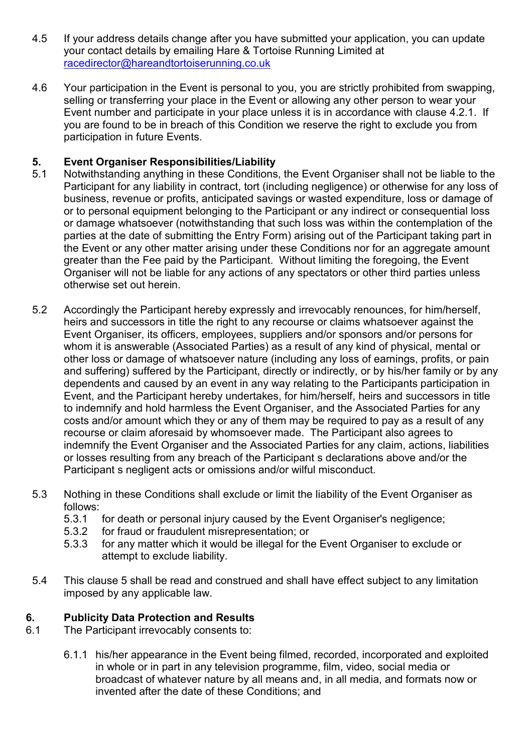- 4.5 If your address details change after you have submitted your application, you can update your contact details by emailing Hare & Tortoise Running Limited at [racedirector@hareandtortoiserunning.co.uk](mailto:racedirector@hareandtortoiserunning.co.uk)
- 4.6 Your participation in the Event is personal to you, you are strictly prohibited from swapping, selling or transferring your place in the Event or allowing any other person to wear your Event number and participate in your place unless it is in accordance with clause 4.2.1. If you are found to be in breach of this Condition we reserve the right to exclude you from participation in future Events.

# **5. Event Organiser Responsibilities/Liability**<br>5.1 Notwithstanding anything in these Conditions

- Notwithstanding anything in these Conditions, the Event Organiser shall not be liable to the Participant for any liability in contract, tort (including negligence) or otherwise for any loss of business, revenue or profits, anticipated savings or wasted expenditure, loss or damage of or to personal equipment belonging to the Participant or any indirect or consequential loss or damage whatsoever (notwithstanding that such loss was within the contemplation of the parties at the date of submitting the Entry Form) arising out of the Participant taking part in the Event or any other matter arising under these Conditions nor for an aggregate amount greater than the Fee paid by the Participant. Without limiting the foregoing, the Event Organiser will not be liable for any actions of any spectators or other third parties unless otherwise set out herein.
- 5.2 Accordingly the Participant hereby expressly and irrevocably renounces, for him/herself, heirs and successors in title the right to any recourse or claims whatsoever against the Event Organiser, its officers, employees, suppliers and/or sponsors and/or persons for whom it is answerable (Associated Parties) as a result of any kind of physical, mental or other loss or damage of whatsoever nature (including any loss of earnings, profits, or pain and suffering) suffered by the Participant, directly or indirectly, or by his/her family or by any dependents and caused by an event in any way relating to the Participants participation in Event, and the Participant hereby undertakes, for him/herself, heirs and successors in title to indemnify and hold harmless the Event Organiser, and the Associated Parties for any costs and/or amount which they or any of them may be required to pay as a result of any recourse or claim aforesaid by whomsoever made. The Participant also agrees to indemnify the Event Organiser and the Associated Parties for any claim, actions, liabilities or losses resulting from any breach of the Participant s declarations above and/or the Participant s negligent acts or omissions and/or wilful misconduct.
- 5.3 Nothing in these Conditions shall exclude or limit the liability of the Event Organiser as follows:
	- 5.3.1 for death or personal injury caused by the Event Organiser's negligence;
	- 5.3.2 for fraud or fraudulent misrepresentation; or
	- 5.3.3 for any matter which it would be illegal for the Event Organiser to exclude or attempt to exclude liability.
- 5.4 This clause 5 shall be read and construed and shall have effect subject to any limitation imposed by any applicable law.

## **6. Publicity Data Protection and Results**<br>**6.1** The Participant irrevocably consents to:

- The Participant irrevocably consents to:
	- 6.1.1 his/her appearance in the Event being filmed, recorded, incorporated and exploited in whole or in part in any television programme, film, video, social media or broadcast of whatever nature by all means and, in all media, and formats now or invented after the date of these Conditions; and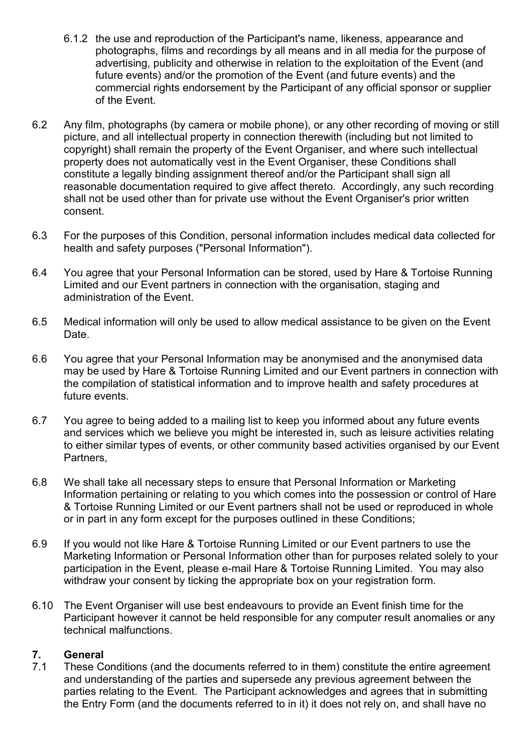- 6.1.2 the use and reproduction of the Participant's name, likeness, appearance and photographs, films and recordings by all means and in all media for the purpose of advertising, publicity and otherwise in relation to the exploitation of the Event (and future events) and/or the promotion of the Event (and future events) and the commercial rights endorsement by the Participant of any official sponsor or supplier of the Event.
- 6.2 Any film, photographs (by camera or mobile phone), or any other recording of moving or still picture, and all intellectual property in connection therewith (including but not limited to copyright) shall remain the property of the Event Organiser, and where such intellectual property does not automatically vest in the Event Organiser, these Conditions shall constitute a legally binding assignment thereof and/or the Participant shall sign all reasonable documentation required to give affect thereto. Accordingly, any such recording shall not be used other than for private use without the Event Organiser's prior written consent.
- 6.3 For the purposes of this Condition, personal information includes medical data collected for health and safety purposes ("Personal Information").
- 6.4 You agree that your Personal Information can be stored, used by Hare & Tortoise Running Limited and our Event partners in connection with the organisation, staging and administration of the Event.
- 6.5 Medical information will only be used to allow medical assistance to be given on the Event Date.
- 6.6 You agree that your Personal Information may be anonymised and the anonymised data may be used by Hare & Tortoise Running Limited and our Event partners in connection with the compilation of statistical information and to improve health and safety procedures at future events.
- 6.7 You agree to being added to a mailing list to keep you informed about any future events and services which we believe you might be interested in, such as leisure activities relating to either similar types of events, or other community based activities organised by our Event Partners,
- 6.8 We shall take all necessary steps to ensure that Personal Information or Marketing Information pertaining or relating to you which comes into the possession or control of Hare & Tortoise Running Limited or our Event partners shall not be used or reproduced in whole or in part in any form except for the purposes outlined in these Conditions;
- 6.9 If you would not like Hare & Tortoise Running Limited or our Event partners to use the Marketing Information or Personal Information other than for purposes related solely to your participation in the Event, please e-mail Hare & Tortoise Running Limited. You may also withdraw your consent by ticking the appropriate box on your registration form.
- 6.10 The Event Organiser will use best endeavours to provide an Event finish time for the Participant however it cannot be held responsible for any computer result anomalies or any technical malfunctions.

#### **7. General**

7.1 These Conditions (and the documents referred to in them) constitute the entire agreement and understanding of the parties and supersede any previous agreement between the parties relating to the Event. The Participant acknowledges and agrees that in submitting the Entry Form (and the documents referred to in it) it does not rely on, and shall have no